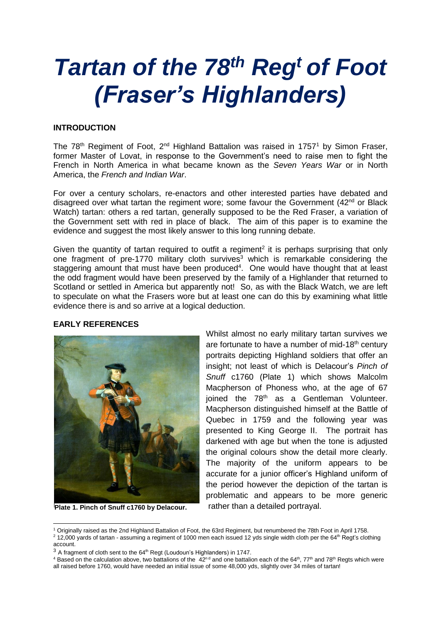# *Tartan of the 78th Reg<sup>t</sup> of Foot (Fraser's Highlanders)*

## **INTRODUCTION**

The  $78<sup>th</sup>$  Regiment of Foot,  $2<sup>nd</sup>$  Highland Battalion was raised in 1757<sup>1</sup> by Simon Fraser, former Master of Lovat, in response to the Government's need to raise men to fight the French in North America in what became known as the *Seven Years War* or in North America, the *French and Indian War*.

For over a century scholars, re-enactors and other interested parties have debated and disagreed over what tartan the regiment wore; some favour the Government  $(42<sup>nd</sup>$  or Black Watch) tartan: others a red tartan, generally supposed to be the Red Fraser, a variation of the Government sett with red in place of black. The aim of this paper is to examine the evidence and suggest the most likely answer to this long running debate.

Given the quantity of tartan required to outfit a regiment<sup>2</sup> it is perhaps surprising that only one fragment of pre-1770 military cloth survives<sup>3</sup> which is remarkable considering the staggering amount that must have been produced<sup>4</sup>. One would have thought that at least the odd fragment would have been preserved by the family of a Highlander that returned to Scotland or settled in America but apparently not! So, as with the Black Watch, we are left to speculate on what the Frasers wore but at least one can do this by examining what little evidence there is and so arrive at a logical deduction.

#### **EARLY REFERENCES**



**Plate 1. Pinch of Snuff c1760 by Delacour.**

Whilst almost no early military tartan survives we are fortunate to have a number of mid-18<sup>th</sup> century portraits depicting Highland soldiers that offer an insight; not least of which is Delacour's *Pinch of Snuff* c1760 (Plate 1) which shows Malcolm Macpherson of Phoness who, at the age of 67 ioined the 78<sup>th</sup> as a Gentleman Volunteer. Macpherson distinguished himself at the Battle of Quebec in 1759 and the following year was presented to King George II. The portrait has darkened with age but when the tone is adjusted the original colours show the detail more clearly. The majority of the uniform appears to be accurate for a junior officer's Highland uniform of the period however the depiction of the tartan is problematic and appears to be more generic rather than a detailed portrayal.

 $4$  Based on the calculation above, two battalions of the  $42^n$ <sup>d</sup> and one battalion each of the 64<sup>th</sup>, 77<sup>th</sup> and 78<sup>th</sup> Regts which were all raised before 1760, would have needed an initial issue of some 48,000 yds, slightly over 34 miles of tartan!

<sup>-</sup><sup>1</sup> Originally raised as the 2nd Highland Battalion of Foot, the 63rd Regiment, but renumbered the 78th Foot in April 1758.  $2$  12,000 yards of tartan - assuming a regiment of 1000 men each issued 12 yds single width cloth per the 64<sup>th</sup> Regt's clothing account.

 $3$  A fragment of cloth sent to the 64<sup>th</sup> Regt (Loudoun's Highlanders) in 1747.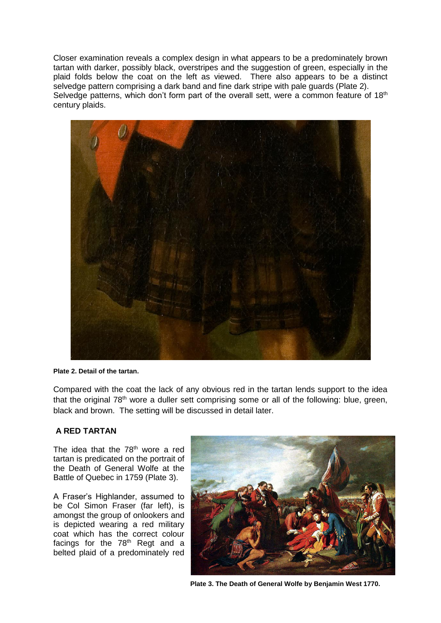Closer examination reveals a complex design in what appears to be a predominately brown tartan with darker, possibly black, overstripes and the suggestion of green, especially in the plaid folds below the coat on the left as viewed. There also appears to be a distinct selvedge pattern comprising a dark band and fine dark stripe with pale guards (Plate 2). Selvedge patterns, which don't form part of the overall sett, were a common feature of  $18<sup>th</sup>$ century plaids.



**Plate 2. Detail of the tartan.**

Compared with the coat the lack of any obvious red in the tartan lends support to the idea that the original 78<sup>th</sup> wore a duller sett comprising some or all of the following: blue, green, black and brown. The setting will be discussed in detail later.

## **A RED TARTAN**

The idea that the  $78<sup>th</sup>$  wore a red tartan is predicated on the portrait of the Death of General Wolfe at the Battle of Quebec in 1759 (Plate 3).

A Fraser's Highlander, assumed to be Col Simon Fraser (far left), is amongst the group of onlookers and is depicted wearing a red military coat which has the correct colour facings for the  $78<sup>th</sup>$  Regt and a belted plaid of a predominately red



**Plate 3. The Death of General Wolfe by Benjamin West 1770.**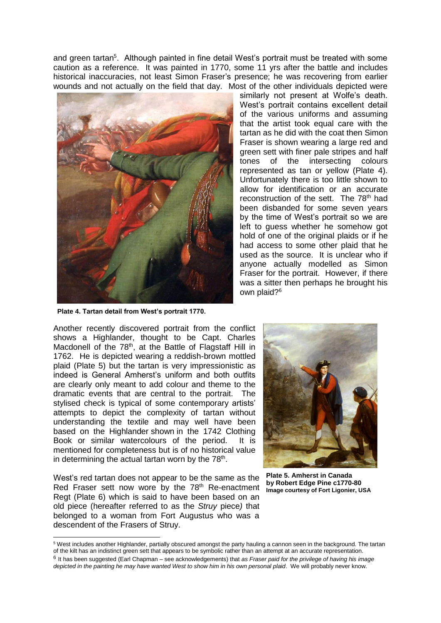and green tartan<sup>5</sup>. Although painted in fine detail West's portrait must be treated with some caution as a reference. It was painted in 1770, some 11 yrs after the battle and includes historical inaccuracies, not least Simon Fraser's presence; he was recovering from earlier wounds and not actually on the field that day. Most of the other individuals depicted were



**Plate 4. Tartan detail from West's portrait 1770.**

similarly not present at Wolfe's death. West's portrait contains excellent detail of the various uniforms and assuming that the artist took equal care with the tartan as he did with the coat then Simon Fraser is shown wearing a large red and green sett with finer pale stripes and half tones of the intersecting colours represented as tan or yellow (Plate 4). Unfortunately there is too little shown to allow for identification or an accurate reconstruction of the sett. The 78<sup>th</sup> had been disbanded for some seven years by the time of West's portrait so we are left to guess whether he somehow got hold of one of the original plaids or if he had access to some other plaid that he used as the source. It is unclear who if anyone actually modelled as Simon Fraser for the portrait. However, if there was a sitter then perhaps he brought his own plaid?<sup>6</sup>

Another recently discovered portrait from the conflict shows a Highlander, thought to be Capt. Charles Macdonell of the 78<sup>th</sup>, at the Battle of Flagstaff Hill in 1762. He is depicted wearing a reddish-brown mottled plaid (Plate 5) but the tartan is very impressionistic as indeed is General Amherst's uniform and both outfits are clearly only meant to add colour and theme to the dramatic events that are central to the portrait. The stylised check is typical of some contemporary artists' attempts to depict the complexity of tartan without understanding the textile and may well have been based on the Highlander shown in the 1742 Clothing Book or similar watercolours of the period. It is mentioned for completeness but is of no historical value in determining the actual tartan worn by the 78<sup>th</sup>.

West's red tartan does not appear to be the same as the Red Fraser sett now wore by the 78<sup>th</sup> Re-enactment Regt (Plate 6) which is said to have been based on an old piece (hereafter referred to as the *Struy* piece*)* that belonged to a woman from Fort Augustus who was a descendent of the Frasers of Struy.

-



**Plate 5. Amherst in Canada by Robert Edge Pine c1770-80 Image courtesy of Fort Ligonier, USA**

<sup>5</sup> West includes another Highlander, partially obscured amongst the party hauling a cannon seen in the background. The tartan of the kilt has an indistinct green sett that appears to be symbolic rather than an attempt at an accurate representation. 6 It has been suggested (Earl Chapman – see acknowledgements) that *as Fraser paid for the privilege of having his image* 

*depicted in the painting he may have wanted West to show him in his own personal plaid*. We will probably never know.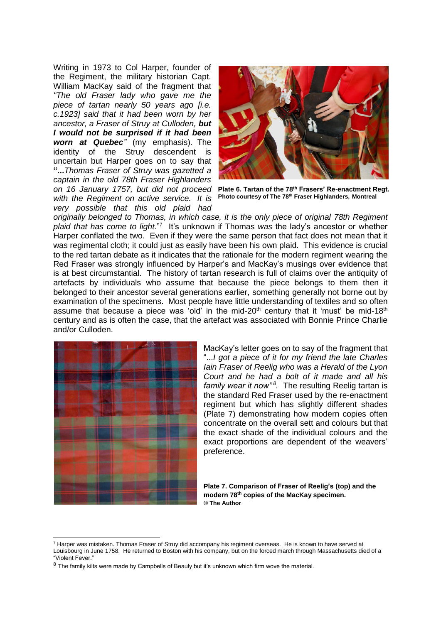Writing in 1973 to Col Harper, founder of the Regiment, the military historian Capt. William MacKay said of the fragment that *"The old Fraser lady who gave me the piece of tartan nearly 50 years ago [i.e. c.1923] said that it had been worn by her ancestor, a Fraser of Struy at Culloden, but I would not be surprised if it had been worn at Quebec"* (my emphasis)*.* The identity of the Struy descendent is uncertain but Harper goes on to say that **"...***Thomas Fraser of Struy was gazetted a captain in the old 78th Fraser Highlanders on 16 January 1757, but did not proceed with the Regiment on active service. It is very possible that this old plaid had* 



**Plate 6. Tartan of the 78th Frasers' Re-enactment Regt. Photo courtesy of The 78th Fraser Highlanders, Montreal**

*originally belonged to Thomas, in which case, it is the only piece of original 78th Regiment*  plaid that has come to light."<sup>7</sup> It's unknown if Thomas was the lady's ancestor or whether Harper conflated the two. Even if they were the same person that fact does not mean that it was regimental cloth; it could just as easily have been his own plaid. This evidence is crucial to the red tartan debate as it indicates that the rationale for the modern regiment wearing the Red Fraser was strongly influenced by Harper's and MacKay's musings over evidence that is at best circumstantial. The history of tartan research is full of claims over the antiquity of artefacts by individuals who assume that because the piece belongs to them then it belonged to their ancestor several generations earlier, something generally not borne out by examination of the specimens. Most people have little understanding of textiles and so often assume that because a piece was 'old' in the mid-20<sup>th</sup> century that it 'must' be mid-18<sup>th</sup> century and as is often the case, that the artefact was associated with Bonnie Prince Charlie and/or Culloden.



-

MacKay's letter goes on to say of the fragment that "...*I got a piece of it for my friend the late Charles Iain Fraser of Reelig who was a Herald of the Lyon Court and he had a bolt of it made and all his*  family wear it now"<sup>8</sup>. The resulting Reelig tartan is the standard Red Fraser used by the re-enactment regiment but which has slightly different shades (Plate 7) demonstrating how modern copies often concentrate on the overall sett and colours but that the exact shade of the individual colours and the exact proportions are dependent of the weavers' preference.

**Plate 7. Comparison of Fraser of Reelig's (top) and the modern 78th copies of the MacKay specimen. © The Author**

 $7$  Harper was mistaken. Thomas Fraser of Struy did accompany his regiment overseas. He is known to have served at Louisbourg in June 1758. He returned to Boston with his company, but on the forced march through Massachusetts died of a "Violent Fever."

<sup>&</sup>lt;sup>8</sup> The family kilts were made by Campbells of Beauly but it's unknown which firm wove the material.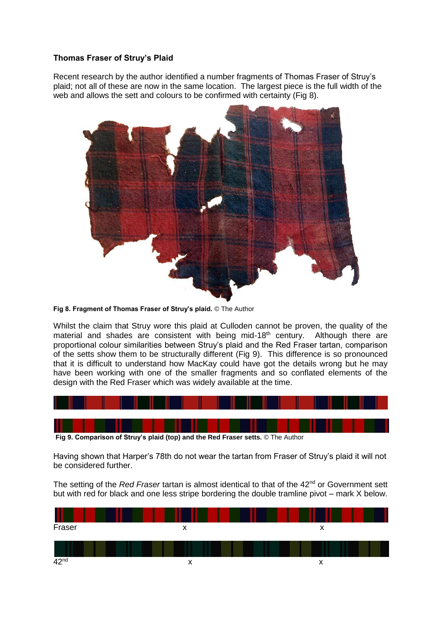### **Thomas Fraser of Struy's Plaid**

Recent research by the author identified a number fragments of Thomas Fraser of Struy's plaid; not all of these are now in the same location. The largest piece is the full width of the web and allows the sett and colours to be confirmed with certainty (Fig 8).



**Fig 8. Fragment of Thomas Fraser of Struy's plaid.** © The Author

Whilst the claim that Struy wore this plaid at Culloden cannot be proven, the quality of the material and shades are consistent with being mid-18<sup>th</sup> century. Although there are proportional colour similarities between Struy's plaid and the Red Fraser tartan, comparison of the setts show them to be structurally different (Fig 9). This difference is so pronounced that it is difficult to understand how MacKay could have got the details wrong but he may have been working with one of the smaller fragments and so conflated elements of the design with the Red Fraser which was widely available at the time.



Having shown that Harper's 78th do not wear the tartan from Fraser of Struy's plaid it will not be considered further.

The setting of the *Red Fraser* tartan is almost identical to that of the 42<sup>nd</sup> or Government sett but with red for black and one less stripe bordering the double tramline pivot – mark X below.

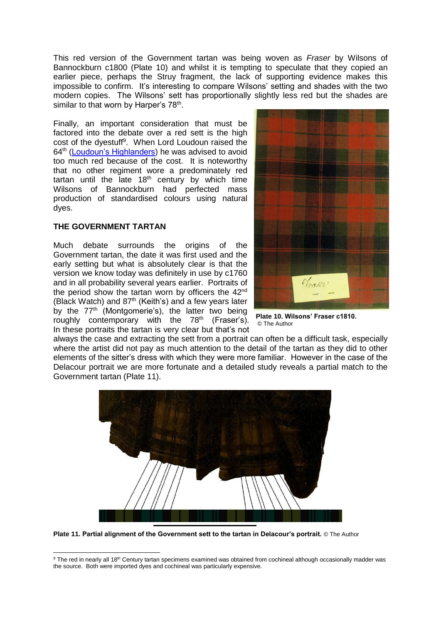This red version of the Government tartan was being woven as *Fraser* by Wilsons of Bannockburn c1800 (Plate 10) and whilst it is tempting to speculate that they copied an earlier piece, perhaps the Struy fragment, the lack of supporting evidence makes this impossible to confirm. It's interesting to compare Wilsons' setting and shades with the two modern copies. The Wilsons' sett has proportionally slightly less red but the shades are similar to that worn by Harper's 78<sup>th</sup>.

Finally, an important consideration that must be factored into the debate over a red sett is the high cost of the dyestuff<sup>9</sup>. When Lord Loudoun raised the 64th [\(Loudoun's Highlanders\)](http://www.scottishtartans.co.uk/64th_Regt_-_Loudon%27s_Highlanders_Tartan.pdf) he was advised to avoid too much red because of the cost. It is noteworthy that no other regiment wore a predominately red tartan until the late  $18<sup>th</sup>$  century by which time Wilsons of Bannockburn had perfected mass production of standardised colours using natural dyes.

#### **THE GOVERNMENT TARTAN**

-

Much debate surrounds the origins of the Government tartan, the date it was first used and the early setting but what is absolutely clear is that the version we know today was definitely in use by c1760 and in all probability several years earlier. Portraits of the period show the tartan worn by officers the 42<sup>nd</sup> (Black Watch) and  $87<sup>th</sup>$  (Keith's) and a few years later by the 77<sup>th</sup> (Montgomerie's), the latter two being roughly contemporary with the 78<sup>th</sup> (Fraser's). In these portraits the tartan is very clear but that's not



**Plate 10. Wilsons' Fraser c1810.** © The Author

always the case and extracting the sett from a portrait can often be a difficult task, especially where the artist did not pay as much attention to the detail of the tartan as they did to other elements of the sitter's dress with which they were more familiar. However in the case of the Delacour portrait we are more fortunate and a detailed study reveals a partial match to the Government tartan (Plate 11).



**Plate 11. Partial alignment of the Government sett to the tartan in Delacour's portrait.** © The Author

<sup>&</sup>lt;sup>9</sup> The red in nearly all 18<sup>th</sup> Century tartan specimens examined was obtained from cochineal although occasionally madder was the source. Both were imported dyes and cochineal was particularly expensive.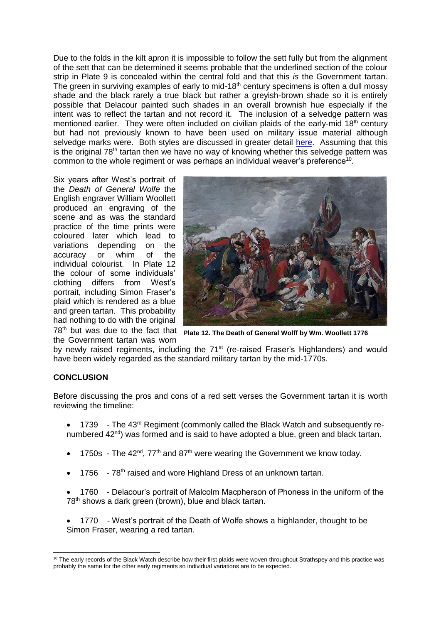Due to the folds in the kilt apron it is impossible to follow the sett fully but from the alignment of the sett that can be determined it seems probable that the underlined section of the colour strip in Plate 9 is concealed within the central fold and that this *is* the Government tartan. The green in surviving examples of early to mid-18<sup>th</sup> century specimens is often a dull mossy shade and the black rarely a true black but rather a greyish-brown shade so it is entirely possible that Delacour painted such shades in an overall brownish hue especially if the intent was to reflect the tartan and not record it. The inclusion of a selvedge pattern was mentioned earlier. They were often included on civilian plaids of the early-mid 18<sup>th</sup> century but had not previously known to have been used on military issue material although selvedge marks were. Both styles are discussed in greater detail [here.](http://www.scottishtartans.co.uk/Traditional_selvage_patterns.pdf) Assuming that this is the original  $78<sup>th</sup>$  tartan then we have no way of knowing whether this selvedge pattern was common to the whole regiment or was perhaps an individual weaver's preference<sup>10</sup>.

Six years after West's portrait of the *Death of General Wolfe* the English engraver William Woollett produced an engraving of the scene and as was the standard practice of the time prints were coloured later which lead to variations depending on the<br>accuracy or whim of the accuracy or whim of the individual colourist. In Plate 12 the colour of some individuals' clothing differs from West's portrait, including Simon Fraser's plaid which is rendered as a blue and green tartan. This probability had nothing to do with the original the Government tartan was worn



78th but was due to the fact that **Plate 12. The Death of General Wolff by Wm. Woollett 1776**

by newly raised regiments, including the 71<sup>st</sup> (re-raised Fraser's Highlanders) and would have been widely regarded as the standard military tartan by the mid-1770s.

## **CONCLUSION**

-

Before discussing the pros and cons of a red sett verses the Government tartan it is worth reviewing the timeline:

- 1739 The 43<sup>rd</sup> Regiment (commonly called the Black Watch and subsequently renumbered 42<sup>nd</sup>) was formed and is said to have adopted a blue, green and black tartan.
- 1750s The  $42^{nd}$ ,  $77^{th}$  and  $87^{th}$  were wearing the Government we know today.
- 1756 78<sup>th</sup> raised and wore Highland Dress of an unknown tartan.
- 1760 Delacour's portrait of Malcolm Macpherson of Phoness in the uniform of the 78<sup>th</sup> shows a dark green (brown), blue and black tartan.
- 1770 West's portrait of the Death of Wolfe shows a highlander, thought to be Simon Fraser, wearing a red tartan.

<sup>&</sup>lt;sup>10</sup> The early records of the Black Watch describe how their first plaids were woven throughout Strathspey and this practice was probably the same for the other early regiments so individual variations are to be expected.